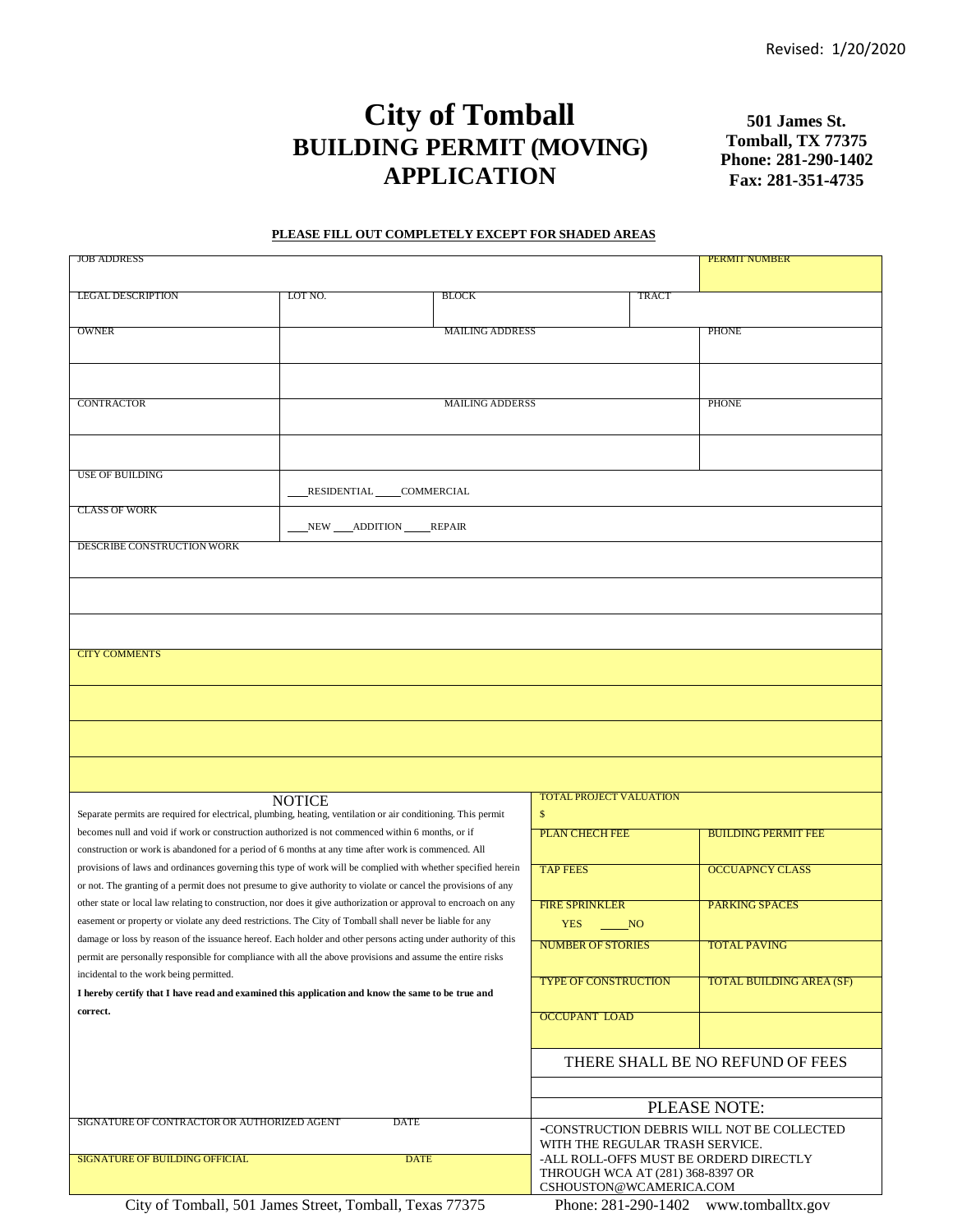# **City of Tomball BUILDING PERMIT (MOVING) APPLICATION**

**501 James St. Tomball, TX 77375 Phone: 281-290-1402 Fax: 281-351-4735**

#### **PLEASE FILL OUT COMPLETELY EXCEPT FOR SHADED AREAS**

| <b>JOB ADDRESS</b>                                                                                               |                                 |                                                                            |                                            |                        | <b>PERMIT NUMBER</b>            |  |  |  |
|------------------------------------------------------------------------------------------------------------------|---------------------------------|----------------------------------------------------------------------------|--------------------------------------------|------------------------|---------------------------------|--|--|--|
|                                                                                                                  |                                 |                                                                            |                                            |                        |                                 |  |  |  |
| <b>LEGAL DESCRIPTION</b>                                                                                         | LOT NO.                         | <b>BLOCK</b>                                                               |                                            | TRACT                  |                                 |  |  |  |
|                                                                                                                  |                                 |                                                                            |                                            |                        |                                 |  |  |  |
| <b>OWNER</b>                                                                                                     | <b>MAILING ADDRESS</b>          |                                                                            |                                            |                        | <b>PHONE</b>                    |  |  |  |
|                                                                                                                  |                                 |                                                                            |                                            |                        |                                 |  |  |  |
|                                                                                                                  |                                 |                                                                            |                                            |                        |                                 |  |  |  |
|                                                                                                                  |                                 |                                                                            |                                            |                        |                                 |  |  |  |
| <b>CONTRACTOR</b>                                                                                                |                                 |                                                                            | <b>PHONE</b>                               |                        |                                 |  |  |  |
|                                                                                                                  |                                 |                                                                            |                                            |                        |                                 |  |  |  |
|                                                                                                                  |                                 |                                                                            |                                            |                        |                                 |  |  |  |
|                                                                                                                  |                                 |                                                                            |                                            |                        |                                 |  |  |  |
| <b>USE OF BUILDING</b>                                                                                           |                                 |                                                                            |                                            |                        |                                 |  |  |  |
|                                                                                                                  | RESIDENTIAL COMMERCIAL          |                                                                            |                                            |                        |                                 |  |  |  |
| <b>CLASS OF WORK</b>                                                                                             |                                 |                                                                            |                                            |                        |                                 |  |  |  |
|                                                                                                                  | NEW ____ ADDITION ______ REPAIR |                                                                            |                                            |                        |                                 |  |  |  |
| DESCRIBE CONSTRUCTION WORK                                                                                       |                                 |                                                                            |                                            |                        |                                 |  |  |  |
|                                                                                                                  |                                 |                                                                            |                                            |                        |                                 |  |  |  |
|                                                                                                                  |                                 |                                                                            |                                            |                        |                                 |  |  |  |
|                                                                                                                  |                                 |                                                                            |                                            |                        |                                 |  |  |  |
|                                                                                                                  |                                 |                                                                            |                                            |                        |                                 |  |  |  |
|                                                                                                                  |                                 |                                                                            |                                            |                        |                                 |  |  |  |
| <b>CITY COMMENTS</b>                                                                                             |                                 |                                                                            |                                            |                        |                                 |  |  |  |
|                                                                                                                  |                                 |                                                                            |                                            |                        |                                 |  |  |  |
|                                                                                                                  |                                 |                                                                            |                                            |                        |                                 |  |  |  |
|                                                                                                                  |                                 |                                                                            |                                            |                        |                                 |  |  |  |
|                                                                                                                  |                                 |                                                                            |                                            |                        |                                 |  |  |  |
|                                                                                                                  |                                 |                                                                            |                                            |                        |                                 |  |  |  |
|                                                                                                                  |                                 |                                                                            |                                            |                        |                                 |  |  |  |
|                                                                                                                  |                                 |                                                                            |                                            |                        |                                 |  |  |  |
|                                                                                                                  | <b>NOTICE</b>                   |                                                                            | <b>TOTAL PROJECT VALUATION</b>             |                        |                                 |  |  |  |
| Separate permits are required for electrical, plumbing, heating, ventilation or air conditioning. This permit    |                                 |                                                                            | \$                                         |                        |                                 |  |  |  |
| becomes null and void if work or construction authorized is not commenced within 6 months, or if                 |                                 |                                                                            | <b>PLAN CHECH FEE</b>                      |                        | <b>BUILDING PERMIT FEE</b>      |  |  |  |
| construction or work is abandoned for a period of 6 months at any time after work is commenced. All              |                                 |                                                                            |                                            |                        |                                 |  |  |  |
| provisions of laws and ordinances governing this type of work will be complied with whether specified herein     |                                 | <b>TAP FEES</b>                                                            |                                            | <b>OCCUAPNCY CLASS</b> |                                 |  |  |  |
| or not. The granting of a permit does not presume to give authority to violate or cancel the provisions of any   |                                 |                                                                            |                                            |                        |                                 |  |  |  |
| other state or local law relating to construction, nor does it give authorization or approval to encroach on any |                                 |                                                                            | <b>FIRE SPRINKLER</b>                      |                        | <b>PARKING SPACES</b>           |  |  |  |
| easement or property or violate any deed restrictions. The City of Tomball shall never be liable for any         |                                 |                                                                            | <b>YES</b><br>NO                           |                        |                                 |  |  |  |
| damage or loss by reason of the issuance hereof. Each holder and other persons acting under authority of this    |                                 |                                                                            | <b>NUMBER OF STORIES</b>                   |                        | <b>TOTAL PAVING</b>             |  |  |  |
| permit are personally responsible for compliance with all the above provisions and assume the entire risks       |                                 |                                                                            |                                            |                        |                                 |  |  |  |
| incidental to the work being permitted.                                                                          |                                 |                                                                            | <b>TYPE OF CONSTRUCTION</b>                |                        | <b>TOTAL BUILDING AREA (SF)</b> |  |  |  |
| I hereby certify that I have read and examined this application and know the same to be true and                 |                                 |                                                                            |                                            |                        |                                 |  |  |  |
| correct.                                                                                                         |                                 |                                                                            | <b>OCCUPANT LOAD</b>                       |                        |                                 |  |  |  |
|                                                                                                                  |                                 |                                                                            |                                            |                        |                                 |  |  |  |
|                                                                                                                  |                                 |                                                                            |                                            |                        |                                 |  |  |  |
|                                                                                                                  |                                 | THERE SHALL BE NO REFUND OF FEES                                           |                                            |                        |                                 |  |  |  |
|                                                                                                                  |                                 |                                                                            |                                            |                        |                                 |  |  |  |
|                                                                                                                  |                                 |                                                                            |                                            |                        |                                 |  |  |  |
|                                                                                                                  | <b>DATE</b>                     | PLEASE NOTE:                                                               |                                            |                        |                                 |  |  |  |
| SIGNATURE OF CONTRACTOR OR AUTHORIZED AGENT                                                                      |                                 |                                                                            | -CONSTRUCTION DEBRIS WILL NOT BE COLLECTED |                        |                                 |  |  |  |
|                                                                                                                  | <b>DATE</b>                     |                                                                            |                                            |                        | WITH THE REGULAR TRASH SERVICE. |  |  |  |
| <b>SIGNATURE OF BUILDING OFFICIAL</b>                                                                            |                                 | -ALL ROLL-OFFS MUST BE ORDERD DIRECTLY<br>THROUGH WCA AT (281) 368-8397 OR |                                            |                        |                                 |  |  |  |
|                                                                                                                  | CSHOUSTON@WCAMERICA.COM         |                                                                            |                                            |                        |                                 |  |  |  |

City of Tomball, 501 James Street, Tomball, Texas 77375 Phone: 281-290-1402 [www.tomballtx.gov](http://www.tomballtx.gov/)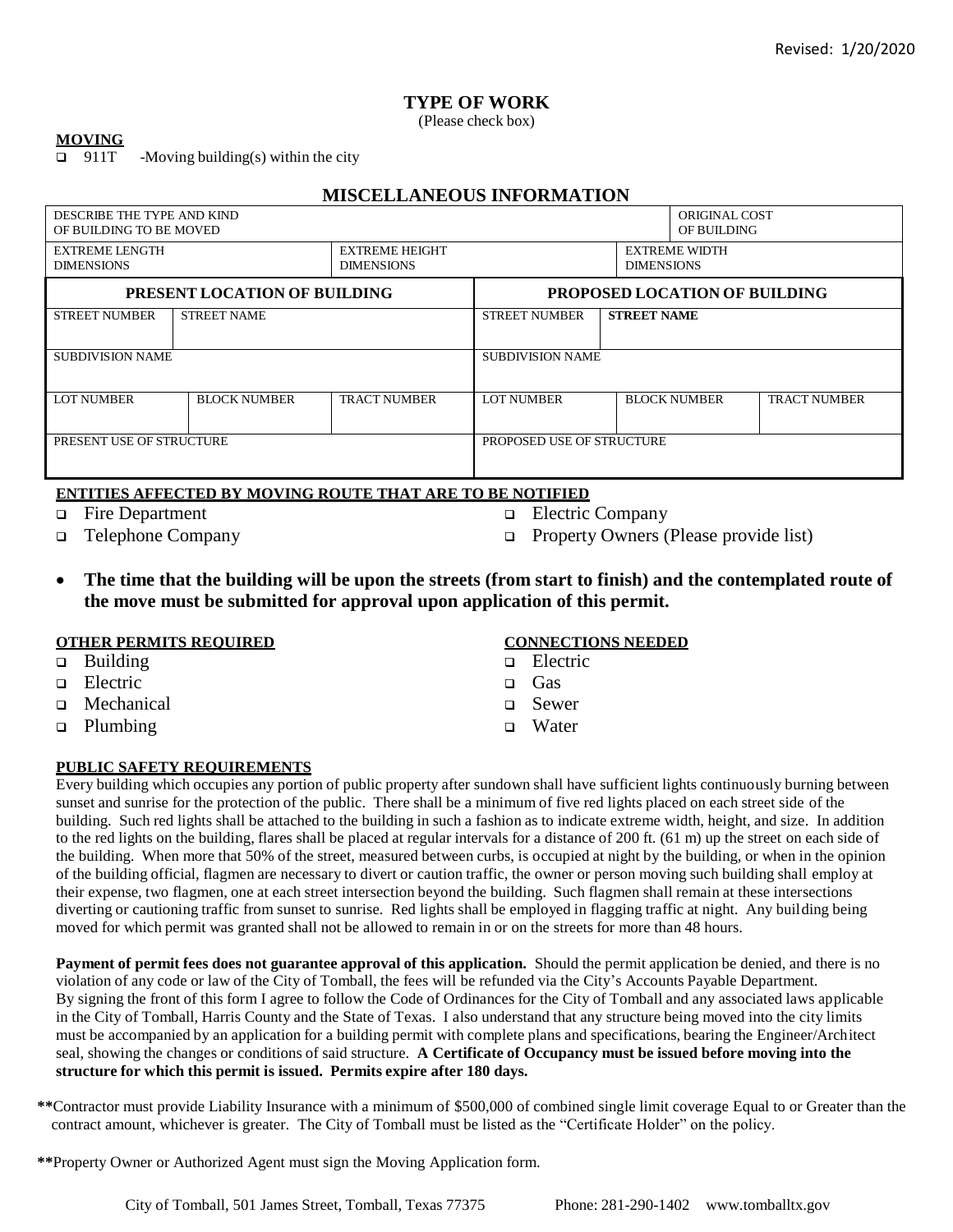# **TYPE OF WORK**

(Please check box)

### **MOVING**

911T -Moving building(s) within the city

## **MISCELLANEOUS INFORMATION**

| DESCRIBE THE TYPE AND KIND<br>OF BUILDING TO BE MOVED |                     |                                            | <b>ORIGINAL COST</b><br>OF BUILDING |                    |                                           |                     |  |  |
|-------------------------------------------------------|---------------------|--------------------------------------------|-------------------------------------|--------------------|-------------------------------------------|---------------------|--|--|
| <b>EXTREME LENGTH</b><br><b>DIMENSIONS</b>            |                     | <b>EXTREME HEIGHT</b><br><b>DIMENSIONS</b> |                                     |                    | <b>EXTREME WIDTH</b><br><b>DIMENSIONS</b> |                     |  |  |
| PRESENT LOCATION OF BUILDING                          |                     |                                            | PROPOSED LOCATION OF BUILDING       |                    |                                           |                     |  |  |
| <b>STREET NUMBER</b>                                  | <b>STREET NAME</b>  |                                            | <b>STREET NUMBER</b>                | <b>STREET NAME</b> |                                           |                     |  |  |
| <b>SUBDIVISION NAME</b>                               |                     |                                            | <b>SUBDIVISION NAME</b>             |                    |                                           |                     |  |  |
| LOT NUMBER                                            | <b>BLOCK NUMBER</b> | TRACT NUMBER                               | LOT NUMBER                          |                    | <b>BLOCK NUMBER</b>                       | <b>TRACT NUMBER</b> |  |  |
| PRESENT USE OF STRUCTURE                              |                     |                                            | PROPOSED USE OF STRUCTURE           |                    |                                           |                     |  |  |

### **ENTITIES AFFECTED BY MOVING ROUTE THAT ARE TO BE NOTIFIED**

- Fire Department
- Telephone Company
- **Electric Company**
- **Property Owners (Please provide list)**
- **The time that the building will be upon the streets (from start to finish) and the contemplated route of the move must be submitted for approval upon application of this permit.**

## **OTHER PERMITS REQUIRED**

- □ Building
- **D** Electric
- **D** Mechanical
- **p** Plumbing

## **PUBLIC SAFETY REQUIREMENTS**

Every building which occupies any portion of public property after sundown shall have sufficient lights continuously burning between sunset and sunrise for the protection of the public. There shall be a minimum of five red lights placed on each street side of the building. Such red lights shall be attached to the building in such a fashion as to indicate extreme width, height, and size. In addition to the red lights on the building, flares shall be placed at regular intervals for a distance of 200 ft. (61 m) up the street on each side of the building. When more that 50% of the street, measured between curbs, is occupied at night by the building, or when in the opinion of the building official, flagmen are necessary to divert or caution traffic, the owner or person moving such building shall employ at their expense, two flagmen, one at each street intersection beyond the building. Such flagmen shall remain at these intersections diverting or cautioning traffic from sunset to sunrise. Red lights shall be employed in flagging traffic at night. Any building being moved for which permit was granted shall not be allowed to remain in or on the streets for more than 48 hours.

**Payment of permit fees does not guarantee approval of this application.** Should the permit application be denied, and there is no violation of any code or law of the City of Tomball, the fees will be refunded via the City's Accounts Payable Department. By signing the front of this form I agree to follow the Code of Ordinances for the City of Tomball and any associated laws applicable in the City of Tomball, Harris County and the State of Texas. I also understand that any structure being moved into the city limits must be accompanied by an application for a building permit with complete plans and specifications, bearing the Engineer/Architect seal, showing the changes or conditions of said structure. **A Certificate of Occupancy must be issued before moving into the structure for which this permit is issued. Permits expire after 180 days.**

**\*\***Contractor must provide Liability Insurance with a minimum of \$500,000 of combined single limit coverage Equal to or Greater than the contract amount, whichever is greater. The City of Tomball must be listed as the "Certificate Holder" on the policy.

**\*\***Property Owner or Authorized Agent must sign the Moving Application form.

City of Tomball, 501 James Street, Tomball, Texas 77375 Phone: 281-290-1402 [www.tomballtx.gov](http://www.tomballtx.gov/)

- **CONNECTIONS NEEDED**
- □ Electric
- n Gas
- Sewer
- **u** Water